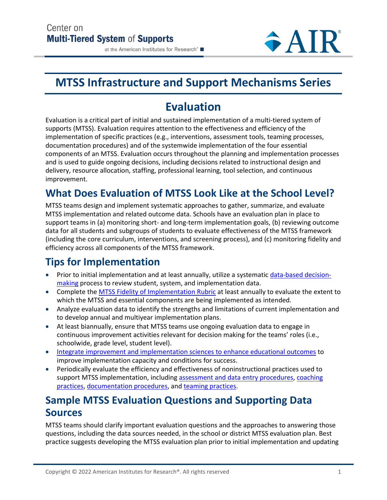#### at the American Institutes for Research®

# **MTSS Infrastructure and Support Mechanisms Series**

# **Evaluation**

Evaluation is a critical part of initial and sustained implementation of a multi-tiered system of supports (MTSS). Evaluation requires attention to the effectiveness and efficiency of the implementation of specific practices (e.g., interventions, assessment tools, teaming processes, documentation procedures) and of the systemwide implementation of the four essential components of an MTSS. Evaluation occurs throughout the planning and implementation processes and is used to guide ongoing decisions, including decisions related to instructional design and delivery, resource allocation, staffing, professional learning, tool selection, and continuous improvement.

### **What Does Evaluation of MTSS Look Like at the School Level?**

MTSS teams design and implement systematic approaches to gather, summarize, and evaluate MTSS implementation and related outcome data. Schools have an evaluation plan in place to support teams in (a) monitoring short- and long-term implementation goals, (b) reviewing outcome data for all students and subgroups of students to evaluate effectiveness of the MTSS framework (including the core curriculum, interventions, and screening process), and (c) monitoring fidelity and efficiency across all components of the MTSS framework.

# **Tips for Implementation**

- Prior to initial implementation and at least annually, utilize a systematic [data-based decision](https://mtss4success.org/essential-components/data-based-decision-making)[making](https://mtss4success.org/essential-components/data-based-decision-making) process to review student, system, and implementation data.
- Complete the [MTSS Fidelity of Implementation Rubric](https://mtss4success.org/resource/essential-components-mtss-rubric) at least annually to evaluate the extent to which the MTSS and essential components are being implemented as intended.
- Analyze evaluation data to identify the strengths and limitations of current implementation and to develop annual and multiyear implementation plans.
- At least biannually, ensure that MTSS teams use ongoing evaluation data to engage in continuous improvement activities relevant for decision making for the teams' roles (i.e., schoolwide, grade level, student level).
- [Integrate improvement and implementation sciences to enhance educational outcomes](https://nirn.fpg.unc.edu/resources/integrating-improvement-and-implementation-sciences-enhance-educational-outcomes) to improve implementation capacity and conditions for success.
- Periodically evaluate the efficiency and effectiveness of noninstructional practices used to support MTSS implementation, including [assessment and data entry procedures,](https://intensiveintervention.org/resource/ensuring-fidelity-assessment-and-data-entry-procedures) [coaching](https://mtss4success.org/resource/effective-coaching-teachers-fidelity-worksheet-and-rubric)  [practices,](https://mtss4success.org/resource/effective-coaching-teachers-fidelity-worksheet-and-rubric) [documentation procedures,](https://intensiveintervention.org/sites/default/files/Implement_Review_Log_508.pdf) an[d teaming practices.](https://intensiveintervention.org/resource/intensive-intervention-meeting-checklist)

#### **Sample MTSS Evaluation Questions and Supporting Data Sources**

MTSS teams should clarify important evaluation questions and the approaches to answering those questions, including the data sources needed, in the school or district MTSS evaluation plan. Best practice suggests developing the MTSS evaluation plan prior to initial implementation and updating